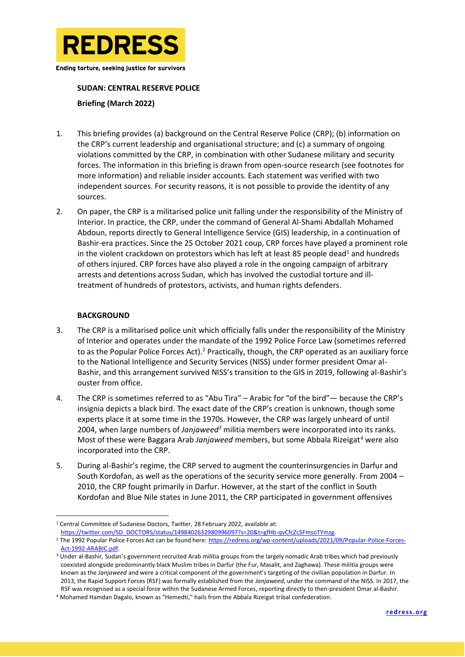

Ending torture, seeking justice for survivors

## **SUDAN: CENTRAL RESERVE POLICE**

**Briefing (March 2022)**

- 1. This briefing provides (a) background on the Central Reserve Police (CRP); (b) information on the CRP's current leadership and organisational structure; and (c) a summary of ongoing violations committed by the CRP, in combination with other Sudanese military and security forces. The information in this briefing is drawn from open-source research (see footnotes for more information) and reliable insider accounts. Each statement was verified with two independent sources. For security reasons, it is not possible to provide the identity of any sources.
- 2. On paper, the CRP is a militarised police unit falling under the responsibility of the Ministry of Interior. In practice, the CRP, under the command of General Al-Shami Abdallah Mohamed Abdoun, reports directly to General Intelligence Service (GIS) leadership, in a continuation of Bashir-era practices. Since the 25 October 2021 coup, CRP forces have played a prominent role in the violent crackdown on protestors which has left at least 85 people dead<sup>1</sup> and hundreds of others injured. CRP forces have also played a role in the ongoing campaign of arbitrary arrests and detentions across Sudan, which has involved the custodial torture and illtreatment of hundreds of protestors, activists, and human rights defenders.

## **BACKGROUND**

- 3. The CRP is a militarised police unit which officially falls under the responsibility of the Ministry of Interior and operates under the mandate of the 1992 Police Force Law (sometimes referred to as the Popular Police Forces Act).<sup>2</sup> Practically, though, the CRP operated as an auxiliary force to the National Intelligence and Security Services (NISS) under former president Omar al-Bashir, and this arrangement survived NISS's transition to the GIS in 2019, following al-Bashir's ouster from office.
- 4. The CRP is sometimes referred to as "Abu Tira" Arabic for "of the bird"— because the CRP's insignia depicts a black bird. The exact date of the CRP's creation is unknown, though some experts place it at some time in the 1970s. However, the CRP was largely unheard of until 2004, when large numbers of *Janjaweed<sup>3</sup>* militia members were incorporated into its ranks. Most of these were Baggara Arab *Janjaweed* members, but some Abbala Rizeigat<sup>4</sup> were also incorporated into the CRP.
- 5. During al-Bashir's regime, the CRP served to augment the counterinsurgencies in Darfur and South Kordofan, as well as the operations of the security service more generally. From 2004 – 2010, the CRP fought primarily in Darfur. However, at the start of the conflict in South Kordofan and Blue Nile states in June 2011, the CRP participated in government offensives

[https://twitter.com/SD\\_DOCTORS/status/1498402632980996097?s=20&t=gfHb-qvCfcZcSFmsoTYmzg.](https://twitter.com/SD_DOCTORS/status/1498402632980996097?s=20&t=gfHb-qvCfcZcSFmsoTYmzg)

<sup>&</sup>lt;sup>1</sup> Central Committee of Sudanese Doctors, Twitter, 28 February 2022, available at:

<sup>2</sup> The 1992 Popular Police Forces Act can be found here[: https://redress.org/wp-content/uploads/2021/09/Popular-Police-Forces-](https://redress.org/wp-content/uploads/2021/09/Popular-Police-Forces-Act-1992-ARABIC.pdf)[Act-1992-ARABIC.pdf.](https://redress.org/wp-content/uploads/2021/09/Popular-Police-Forces-Act-1992-ARABIC.pdf)

<sup>3</sup> Under al-Bashir, Sudan's government recruited Arab militia groups from the largely nomadic Arab tribes which had previously coexisted alongside predominantly black Muslim tribes in Darfur (the Fur, Masalit, and Zaghawa). These militia groups were known as the *Janjaweed* and were a critical component of the government's targeting of the civilian population in Darfur. In 2013, the Rapid Support Forces (RSF) was formally established from the *Janjaweed*, under the command of the NISS. In 2017, the RSF was recognised as a special force within the Sudanese Armed Forces, reporting directly to then-president Omar al-Bashir.

<sup>4</sup> Mohamed Hamdan Dagalo, known as "Hemedti," hails from the Abbala Rizeigat tribal confederation.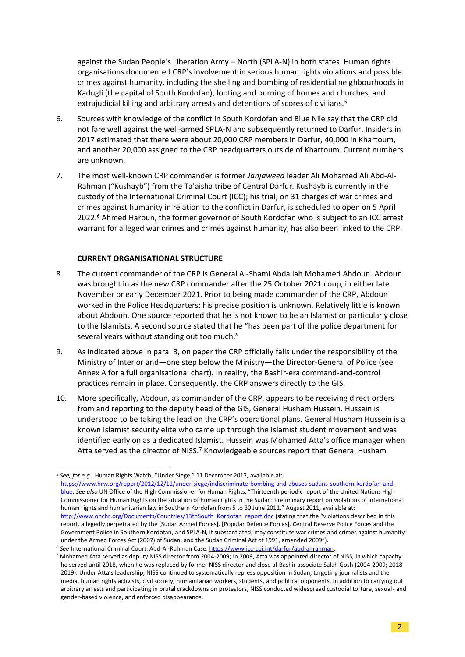against the Sudan People's Liberation Army – North (SPLA-N) in both states. Human rights organisations documented CRP's involvement in serious human rights violations and possible crimes against humanity, including the shelling and bombing of residential neighbourhoods in Kadugli (the capital of South Kordofan), looting and burning of homes and churches, and extrajudicial killing and arbitrary arrests and detentions of scores of civilians.<sup>5</sup>

- 6. Sources with knowledge of the conflict in South Kordofan and Blue Nile say that the CRP did not fare well against the well-armed SPLA-N and subsequently returned to Darfur. Insiders in 2017 estimated that there were about 20,000 CRP members in Darfur, 40,000 in Khartoum, and another 20,000 assigned to the CRP headquarters outside of Khartoum. Current numbers are unknown.
- 7. The most well-known CRP commander is former *Janjaweed* leader Ali Mohamed Ali Abd-Al-Rahman ("Kushayb") from the Ta'aisha tribe of Central Darfur. Kushayb is currently in the custody of the International Criminal Court (ICC); his trial, on 31 charges of war crimes and crimes against humanity in relation to the conflict in Darfur, is scheduled to open on 5 April 2022.<sup>6</sup> Ahmed Haroun, the former governor of South Kordofan who is subject to an ICC arrest warrant for alleged war crimes and crimes against humanity, has also been linked to the CRP.

## **CURRENT ORGANISATIONAL STRUCTURE**

- 8. The current commander of the CRP is General Al-Shami Abdallah Mohamed Abdoun. Abdoun was brought in as the new CRP commander after the 25 October 2021 coup, in either late November or early December 2021. Prior to being made commander of the CRP, Abdoun worked in the Police Headquarters; his precise position is unknown. Relatively little is known about Abdoun. One source reported that he is not known to be an Islamist or particularly close to the Islamists. A second source stated that he "has been part of the police department for several years without standing out too much."
- 9. As indicated above in para. 3, on paper the CRP officially falls under the responsibility of the Ministry of Interior and—one step below the Ministry—the Director-General of Police (see Annex A for a full organisational chart). In reality, the Bashir-era command-and-control practices remain in place. Consequently, the CRP answers directly to the GIS.
- 10. More specifically, Abdoun, as commander of the CRP, appears to be receiving direct orders from and reporting to the deputy head of the GIS, General Husham Hussein. Hussein is understood to be taking the lead on the CRP's operational plans. General Husham Hussein is a known Islamist security elite who came up through the Islamist student movement and was identified early on as a dedicated Islamist. Hussein was Mohamed Atta's office manager when Atta served as the director of NISS.<sup>7</sup> Knowledgeable sources report that General Husham

<sup>5</sup> *See, for e.g.,* Human Rights Watch, "Under Siege," 11 December 2012, available at: [https://www.hrw.org/report/2012/12/11/under-siege/indiscriminate-bombing-and-abuses-sudans-southern-kordofan-and](https://www.hrw.org/report/2012/12/11/under-siege/indiscriminate-bombing-and-abuses-sudans-southern-kordofan-and-blue)[blue.](https://www.hrw.org/report/2012/12/11/under-siege/indiscriminate-bombing-and-abuses-sudans-southern-kordofan-and-blue) *See also* UN Office of the High Commissioner for Human Rights, "Thirteenth periodic report of the United Nations High Commissioner for Human Rights on the situation of human rights in the Sudan: Preliminary report on violations of international human rights and humanitarian law in Southern Kordofan from 5 to 30 June 2011," August 2011, available at: [http://www.ohchr.org/Documents/Countries/13thSouth\\_Kordofan\\_report.doc](http://www.ohchr.org/Documents/Countries/13thSouth_Kordofan_report.doc) (stating that the "violations described in this report, allegedly perpetrated by the [Sudan Armed Forces], [Popular Defence Forces], Central Reserve Police Forces and the Government Police in Southern Kordofan, and SPLA-N, if substantiated, may constitute war crimes and crimes against humanity under the Armed Forces Act (2007) of Sudan, and the Sudan Criminal Act of 1991, amended 2009").

<sup>6</sup> *See* International Criminal Court, Abd-Al-Rahman Case[, https://www.icc-cpi.int/darfur/abd-al-rahman.](https://www.icc-cpi.int/darfur/abd-al-rahman) 

<sup>7</sup> Mohamed Atta served as deputy NISS director from 2004-2009; in 2009, Atta was appointed director of NISS, in which capacity he served until 2018, when he was replaced by former NISS director and close al-Bashir associate Salah Gosh (2004-2009; 2018- 2019). Under Atta's leadership, NISS continued to systematically repress opposition in Sudan, targeting journalists and the media, human rights activists, civil society, humanitarian workers, students, and political opponents. In addition to carrying out arbitrary arrests and participating in brutal crackdowns on protestors, NISS conducted widespread custodial torture, sexual- and gender-based violence, and enforced disappearance.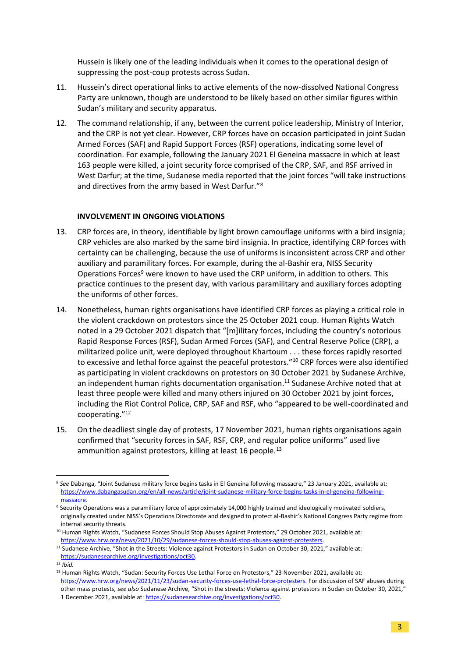Hussein is likely one of the leading individuals when it comes to the operational design of suppressing the post-coup protests across Sudan.

- 11. Hussein's direct operational links to active elements of the now-dissolved National Congress Party are unknown, though are understood to be likely based on other similar figures within Sudan's military and security apparatus.
- 12. The command relationship, if any, between the current police leadership, Ministry of Interior, and the CRP is not yet clear. However, CRP forces have on occasion participated in joint Sudan Armed Forces (SAF) and Rapid Support Forces (RSF) operations, indicating some level of coordination. For example, following the January 2021 El Geneina massacre in which at least 163 people were killed, a joint security force comprised of the CRP, SAF, and RSF arrived in West Darfur; at the time, Sudanese media reported that the joint forces "will take instructions and directives from the army based in West Darfur."<sup>8</sup>

## **INVOLVEMENT IN ONGOING VIOLATIONS**

- 13. CRP forces are, in theory, identifiable by light brown camouflage uniforms with a bird insignia; CRP vehicles are also marked by the same bird insignia. In practice, identifying CRP forces with certainty can be challenging, because the use of uniforms is inconsistent across CRP and other auxiliary and paramilitary forces. For example, during the al-Bashir era, NISS Security Operations Forces<sup>9</sup> were known to have used the CRP uniform, in addition to others. This practice continues to the present day, with various paramilitary and auxiliary forces adopting the uniforms of other forces.
- 14. Nonetheless, human rights organisations have identified CRP forces as playing a critical role in the violent crackdown on protestors since the 25 October 2021 coup. Human Rights Watch noted in a 29 October 2021 dispatch that "[m]ilitary forces, including the country's notorious Rapid Response Forces (RSF), Sudan Armed Forces (SAF), and Central Reserve Police (CRP), a militarized police unit, were deployed throughout Khartoum . . . these forces rapidly resorted to excessive and lethal force against the peaceful protestors."<sup>10</sup> CRP forces were also identified as participating in violent crackdowns on protestors on 30 October 2021 by Sudanese Archive, an independent human rights documentation organisation. <sup>11</sup> Sudanese Archive noted that at least three people were killed and many others injured on 30 October 2021 by joint forces, including the Riot Control Police, CRP, SAF and RSF, who "appeared to be well-coordinated and cooperating."<sup>12</sup>
- 15. On the deadliest single day of protests, 17 November 2021, human rights organisations again confirmed that "security forces in SAF, RSF, CRP, and regular police uniforms" used live ammunition against protestors, killing at least 16 people.<sup>13</sup>

<sup>8</sup> *See* Dabanga, "Joint Sudanese military force begins tasks in El Geneina following massacre," 23 January 2021, available at: [https://www.dabangasudan.org/en/all-news/article/joint-sudanese-military-force-begins-tasks-in-el-geneina-following](https://www.dabangasudan.org/en/all-news/article/joint-sudanese-military-force-begins-tasks-in-el-geneina-following-massacre)[massacre.](https://www.dabangasudan.org/en/all-news/article/joint-sudanese-military-force-begins-tasks-in-el-geneina-following-massacre)

<sup>&</sup>lt;sup>9</sup> Security Operations was a paramilitary force of approximately 14,000 highly trained and ideologically motivated soldiers, originally created under NISS's Operations Directorate and designed to protect al-Bashir's National Congress Party regime from internal security threats.

<sup>&</sup>lt;sup>10</sup> Human Rights Watch, "Sudanese Forces Should Stop Abuses Against Protestors," 29 October 2021, available at: [https://www.hrw.org/news/2021/10/29/sudanese-forces-should-stop-abuses-against-protesters.](https://www.hrw.org/news/2021/10/29/sudanese-forces-should-stop-abuses-against-protesters)

<sup>11</sup> Sudanese Archive, "Shot in the Streets: Violence against Protestors in Sudan on October 30, 2021," available at: [https://sudanesearchive.org/investigations/oct30.](https://sudanesearchive.org/investigations/oct30) 

<sup>12</sup> *Ibid.*

<sup>13</sup> Human Rights Watch, "Sudan: Security Forces Use Lethal Force on Protestors," 23 November 2021, available at: [https://www.hrw.org/news/2021/11/23/sudan-security-forces-use-lethal-force-protesters.](https://www.hrw.org/news/2021/11/23/sudan-security-forces-use-lethal-force-protesters) For discussion of SAF abuses during other mass protests, *see also* Sudanese Archive, "Shot in the streets: Violence against protestors in Sudan on October 30, 2021," 1 December 2021, available at[: https://sudanesearchive.org/investigations/oct30.](https://sudanesearchive.org/investigations/oct30)